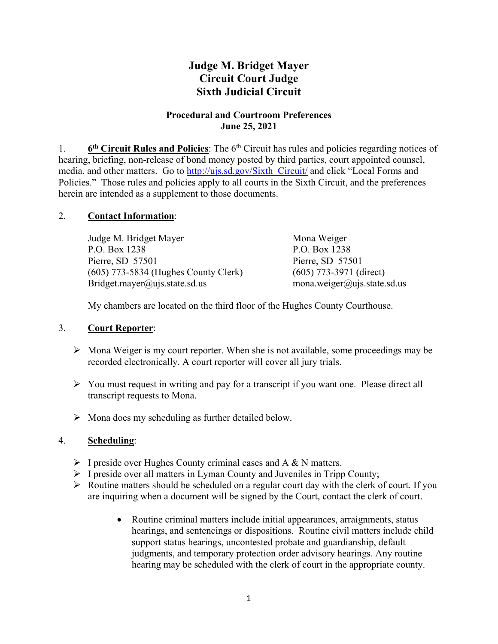# **Judge M. Bridget Mayer Circuit Court Judge Sixth Judicial Circuit**

### **Procedural and Courtroom Preferences June 25, 2021**

1. **6th Circuit Rules and Policies**: The 6th Circuit has rules and policies regarding notices of hearing, briefing, non-release of bond money posted by third parties, court appointed counsel, media, and other matters. Go to http://ujs.sd.gov/Sixth\_Circuit/ and click "Local Forms and Policies." Those rules and policies apply to all courts in the Sixth Circuit, and the preferences herein are intended as a supplement to those documents.

# 2. **Contact Information**:

| Judge M. Bridget Mayer                 | Mona Weiger                 |
|----------------------------------------|-----------------------------|
| P.O. Box 1238                          | P.O. Box 1238               |
| Pierre, SD 57501                       | Pierre, SD 57501            |
| $(605)$ 773-5834 (Hughes County Clerk) | $(605)$ 773-3971 (direct)   |
| Bridget.mayer@ujs.state.sd.us          | mona.weiger@ujs.state.sd.us |

My chambers are located on the third floor of the Hughes County Courthouse.

# 3. **Court Reporter**:

- $\triangleright$  Mona Weiger is my court reporter. When she is not available, some proceedings may be recorded electronically. A court reporter will cover all jury trials.
- $\triangleright$  You must request in writing and pay for a transcript if you want one. Please direct all transcript requests to Mona.
- $\triangleright$  Mona does my scheduling as further detailed below.

# 4. **Scheduling**:

- $\triangleright$  I preside over Hughes County criminal cases and A & N matters.
- $\triangleright$  I preside over all matters in Lyman County and Juveniles in Tripp County;
- Routine matters should be scheduled on a regular court day with the clerk of court*.* If you are inquiring when a document will be signed by the Court, contact the clerk of court.
	- Routine criminal matters include initial appearances, arraignments, status hearings, and sentencings or dispositions. Routine civil matters include child support status hearings, uncontested probate and guardianship, default judgments, and temporary protection order advisory hearings. Any routine hearing may be scheduled with the clerk of court in the appropriate county.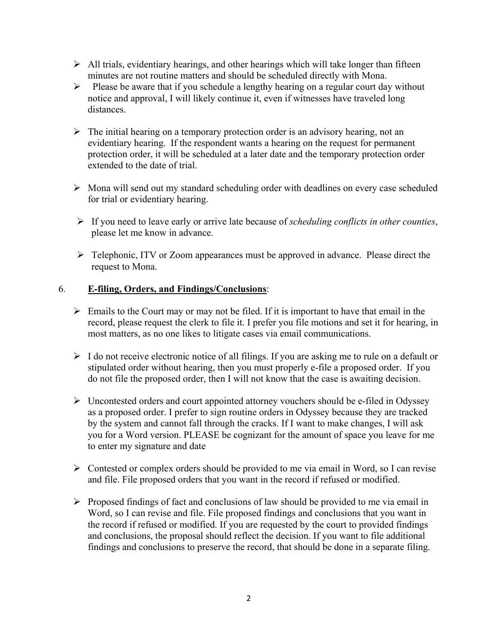- $\triangleright$  All trials, evidentiary hearings, and other hearings which will take longer than fifteen minutes are not routine matters and should be scheduled directly with Mona.
- $\triangleright$  Please be aware that if you schedule a lengthy hearing on a regular court day without notice and approval, I will likely continue it, even if witnesses have traveled long distances.
- $\triangleright$  The initial hearing on a temporary protection order is an advisory hearing, not an evidentiary hearing. If the respondent wants a hearing on the request for permanent protection order, it will be scheduled at a later date and the temporary protection order extended to the date of trial.
- $\triangleright$  Mona will send out my standard scheduling order with deadlines on every case scheduled for trial or evidentiary hearing.
- If you need to leave early or arrive late because of *scheduling conflicts in other counties*, please let me know in advance.
- Telephonic, ITV or Zoom appearances must be approved in advance. Please direct the request to Mona.

# 6. **E-filing, Orders, and Findings/Conclusions**:

- $\triangleright$  Emails to the Court may or may not be filed. If it is important to have that email in the record, please request the clerk to file it. I prefer you file motions and set it for hearing, in most matters, as no one likes to litigate cases via email communications.
- $\triangleright$  I do not receive electronic notice of all filings. If you are asking me to rule on a default or stipulated order without hearing, then you must properly e-file a proposed order. If you do not file the proposed order, then I will not know that the case is awaiting decision.
- $\triangleright$  Uncontested orders and court appointed attorney vouchers should be e-filed in Odyssey as a proposed order. I prefer to sign routine orders in Odyssey because they are tracked by the system and cannot fall through the cracks. If I want to make changes, I will ask you for a Word version. PLEASE be cognizant for the amount of space you leave for me to enter my signature and date
- $\triangleright$  Contested or complex orders should be provided to me via email in Word, so I can revise and file. File proposed orders that you want in the record if refused or modified.
- $\triangleright$  Proposed findings of fact and conclusions of law should be provided to me via email in Word, so I can revise and file. File proposed findings and conclusions that you want in the record if refused or modified. If you are requested by the court to provided findings and conclusions, the proposal should reflect the decision. If you want to file additional findings and conclusions to preserve the record, that should be done in a separate filing.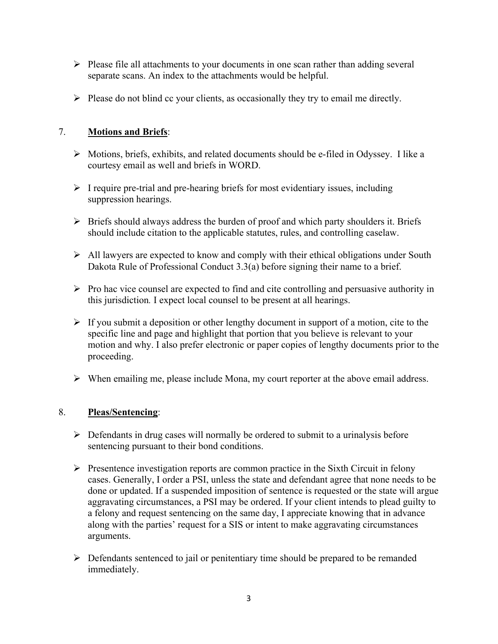- $\triangleright$  Please file all attachments to your documents in one scan rather than adding several separate scans. An index to the attachments would be helpful.
- $\triangleright$  Please do not blind cc your clients, as occasionally they try to email me directly.

# 7. **Motions and Briefs**:

- $\triangleright$  Motions, briefs, exhibits, and related documents should be e-filed in Odyssey. I like a courtesy email as well and briefs in WORD.
- $\triangleright$  I require pre-trial and pre-hearing briefs for most evidentiary issues, including suppression hearings.
- $\triangleright$  Briefs should always address the burden of proof and which party shoulders it. Briefs should include citation to the applicable statutes, rules, and controlling caselaw.
- $\triangleright$  All lawyers are expected to know and comply with their ethical obligations under South Dakota Rule of Professional Conduct 3.3(a) before signing their name to a brief.
- $\triangleright$  Pro hac vice counsel are expected to find and cite controlling and persuasive authority in this jurisdiction*.* I expect local counsel to be present at all hearings.
- $\triangleright$  If you submit a deposition or other lengthy document in support of a motion, cite to the specific line and page and highlight that portion that you believe is relevant to your motion and why. I also prefer electronic or paper copies of lengthy documents prior to the proceeding.
- $\triangleright$  When emailing me, please include Mona, my court reporter at the above email address.

# 8. **Pleas/Sentencing**:

- $\triangleright$  Defendants in drug cases will normally be ordered to submit to a urinalysis before sentencing pursuant to their bond conditions.
- $\triangleright$  Presentence investigation reports are common practice in the Sixth Circuit in felony cases. Generally, I order a PSI, unless the state and defendant agree that none needs to be done or updated. If a suspended imposition of sentence is requested or the state will argue aggravating circumstances, a PSI may be ordered. If your client intends to plead guilty to a felony and request sentencing on the same day, I appreciate knowing that in advance along with the parties' request for a SIS or intent to make aggravating circumstances arguments.
- $\triangleright$  Defendants sentenced to jail or penitentiary time should be prepared to be remanded immediately.